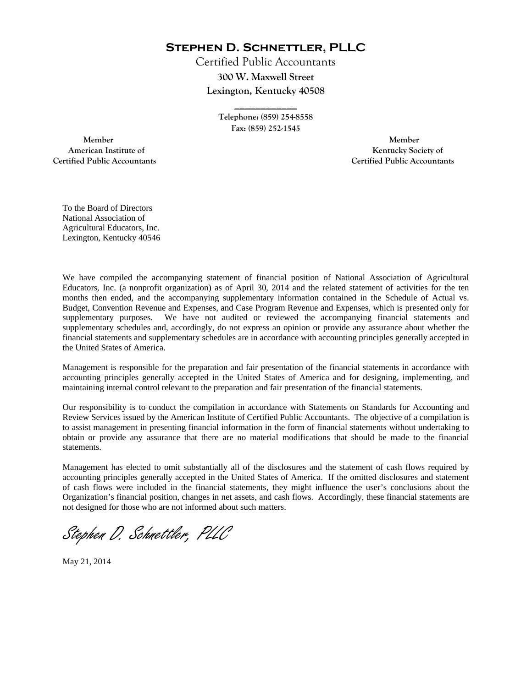**Stephen D. Schnettler, PLLC**

Certified Public Accountants **300 W. Maxwell Street Lexington, Kentucky 40508** 

> **Telephone: (859) 254-8558 Fax: (859) 252-1545**

**\_\_\_\_\_\_\_\_\_\_\_\_** 

 **Member Member Certified Public Accountants Certified Public Accountants** 

American Institute of **Kentucky Society of** 

To the Board of Directors National Association of Agricultural Educators, Inc. Lexington, Kentucky 40546

We have compiled the accompanying statement of financial position of National Association of Agricultural Educators, Inc. (a nonprofit organization) as of April 30, 2014 and the related statement of activities for the ten months then ended, and the accompanying supplementary information contained in the Schedule of Actual vs. Budget, Convention Revenue and Expenses, and Case Program Revenue and Expenses, which is presented only for supplementary purposes. We have not audited or reviewed the accompanying financial statements and supplementary schedules and, accordingly, do not express an opinion or provide any assurance about whether the financial statements and supplementary schedules are in accordance with accounting principles generally accepted in the United States of America.

Management is responsible for the preparation and fair presentation of the financial statements in accordance with accounting principles generally accepted in the United States of America and for designing, implementing, and maintaining internal control relevant to the preparation and fair presentation of the financial statements.

Our responsibility is to conduct the compilation in accordance with Statements on Standards for Accounting and Review Services issued by the American Institute of Certified Public Accountants. The objective of a compilation is to assist management in presenting financial information in the form of financial statements without undertaking to obtain or provide any assurance that there are no material modifications that should be made to the financial statements.

Management has elected to omit substantially all of the disclosures and the statement of cash flows required by accounting principles generally accepted in the United States of America. If the omitted disclosures and statement of cash flows were included in the financial statements, they might influence the user's conclusions about the Organization's financial position, changes in net assets, and cash flows. Accordingly, these financial statements are not designed for those who are not informed about such matters.

Stephen D. Schnettler, PLLC

May 21, 2014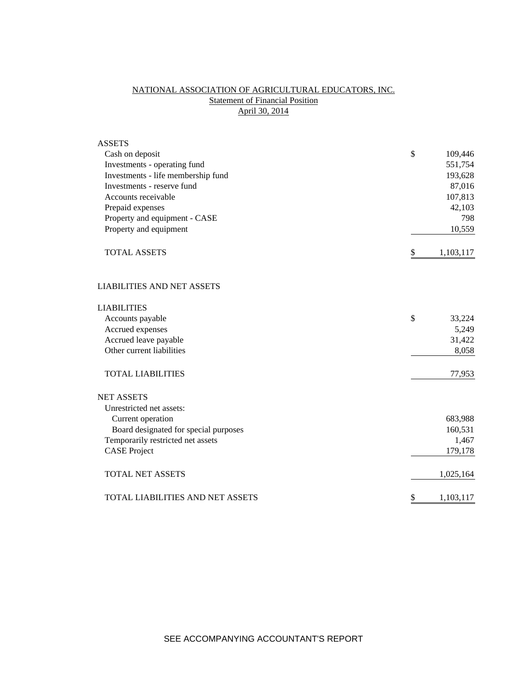# NATIONAL ASSOCIATION OF AGRICULTURAL EDUCATORS, INC. **Statement of Financial Position** April 30, 2014

| <b>ASSETS</b>                         |                 |     |
|---------------------------------------|-----------------|-----|
| Cash on deposit                       | \$<br>109,446   |     |
| Investments - operating fund          | 551,754         |     |
| Investments - life membership fund    | 193,628         |     |
| Investments - reserve fund            | 87,016          |     |
| Accounts receivable                   | 107,813         |     |
| Prepaid expenses                      | 42,103          |     |
| Property and equipment - CASE         |                 | 798 |
| Property and equipment                | 10,559          |     |
| <b>TOTAL ASSETS</b>                   | \$<br>1,103,117 |     |
| <b>LIABILITIES AND NET ASSETS</b>     |                 |     |
| <b>LIABILITIES</b>                    |                 |     |
| Accounts payable                      | \$<br>33,224    |     |
| Accrued expenses                      | 5,249           |     |
| Accrued leave payable                 | 31,422          |     |
| Other current liabilities             | 8,058           |     |
| <b>TOTAL LIABILITIES</b>              | 77,953          |     |
| <b>NET ASSETS</b>                     |                 |     |
| Unrestricted net assets:              |                 |     |
| Current operation                     | 683,988         |     |
| Board designated for special purposes | 160,531         |     |
| Temporarily restricted net assets     | 1,467           |     |
| <b>CASE Project</b>                   | 179,178         |     |
| <b>TOTAL NET ASSETS</b>               | 1,025,164       |     |
| TOTAL LIABILITIES AND NET ASSETS      | \$<br>1,103,117 |     |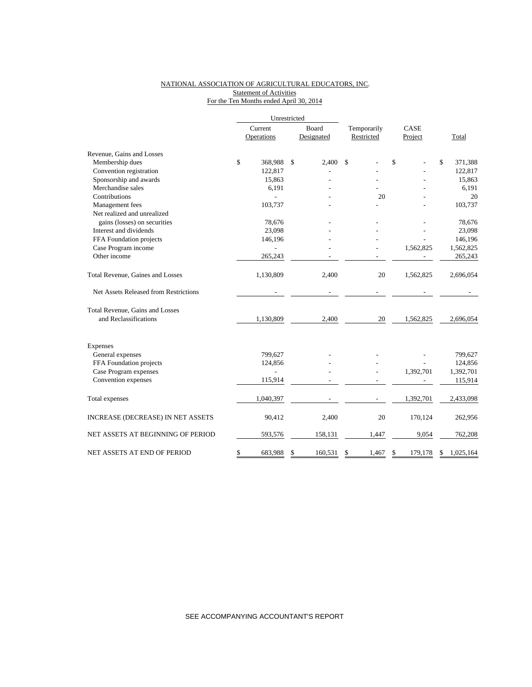### NATIONAL ASSOCIATION OF AGRICULTURAL EDUCATORS, INC. **Statement of Activities** For the Ten Months ended April 30, 2014

|                                       | Unrestricted |            |    |            |             |               |    |           |  |
|---------------------------------------|--------------|------------|----|------------|-------------|---------------|----|-----------|--|
|                                       | Current      |            |    | Board      | Temporarily | CASE          |    |           |  |
|                                       |              | Operations |    | Designated | Restricted  | Project       |    | Total     |  |
| Revenue, Gains and Losses             |              |            |    |            |             |               |    |           |  |
| Membership dues                       | \$           | 368,988    | \$ | 2,400      | \$          | \$            | \$ | 371,388   |  |
| Convention registration               |              | 122,817    |    |            |             |               |    | 122,817   |  |
| Sponsorship and awards                |              | 15,863     |    |            |             |               |    | 15,863    |  |
| Merchandise sales                     |              | 6,191      |    |            |             |               |    | 6,191     |  |
| Contributions                         |              |            |    |            | 20          |               |    | 20        |  |
| Management fees                       |              | 103,737    |    |            |             |               |    | 103,737   |  |
| Net realized and unrealized           |              |            |    |            |             |               |    |           |  |
| gains (losses) on securities          |              | 78,676     |    |            |             |               |    | 78,676    |  |
| Interest and dividends                |              | 23,098     |    |            |             |               |    | 23,098    |  |
| FFA Foundation projects               |              | 146,196    |    |            |             |               |    | 146,196   |  |
| Case Program income                   |              |            |    |            |             | 1,562,825     |    | 1,562,825 |  |
| Other income                          |              | 265,243    |    |            |             |               |    | 265,243   |  |
| Total Revenue, Gaines and Losses      |              | 1,130,809  |    | 2,400      | 20          | 1,562,825     |    | 2,696,054 |  |
| Net Assets Released from Restrictions |              |            |    |            |             |               |    |           |  |
| Total Revenue, Gains and Losses       |              |            |    |            |             |               |    |           |  |
| and Reclassifications                 |              | 1,130,809  |    | 2,400      | 20          | 1,562,825     |    | 2,696,054 |  |
| <b>Expenses</b>                       |              |            |    |            |             |               |    |           |  |
| General expenses                      |              | 799,627    |    |            |             |               |    | 799,627   |  |
| FFA Foundation projects               |              | 124,856    |    |            |             |               |    | 124,856   |  |
| Case Program expenses                 |              | L,         |    |            |             | 1,392,701     |    | 1,392,701 |  |
| Convention expenses                   |              | 115,914    |    |            |             |               |    | 115,914   |  |
| Total expenses                        |              | 1,040,397  |    |            |             | 1,392,701     |    | 2,433,098 |  |
| INCREASE (DECREASE) IN NET ASSETS     |              | 90,412     |    | 2,400      | 20          | 170,124       |    | 262,956   |  |
| NET ASSETS AT BEGINNING OF PERIOD     |              | 593,576    |    | 158,131    | 1,447       | 9,054         |    | 762,208   |  |
| NET ASSETS AT END OF PERIOD           | \$           | 683,988    | \$ | 160.531    | \$<br>1.467 | \$<br>179,178 | \$ | 1,025,164 |  |

SEE ACCOMPANYING ACCOUNTANT'S REPORT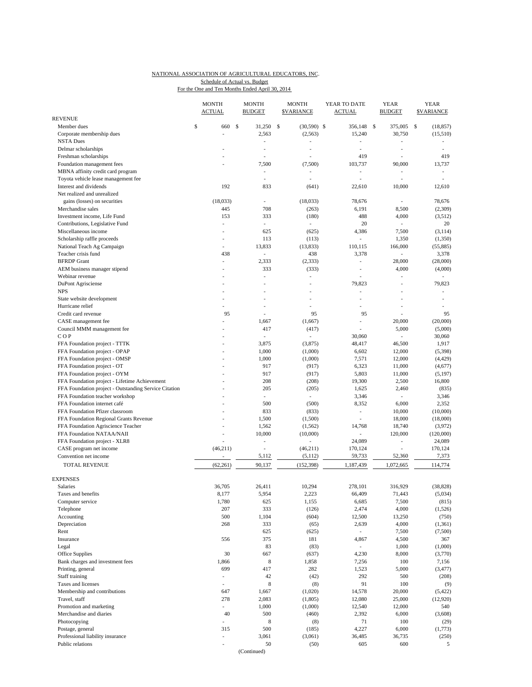#### NATIONAL ASSOCIATION OF AGRICULTURAL EDUCATORS, INC. For the One and Ten Months Ended April 30, 2014 Schedule of Actual vs. Budget

|                                                       | <b>MONTH</b><br><b>ACTUAL</b>  |               | <b>MONTH</b><br><b>BUDGET</b>  | <b>MONTH</b><br><b>SVARIANCE</b> | YEAR TO DATE<br><b>ACTUAL</b> | <b>YEAR</b><br><b>BUDGET</b> |              | <b>YEAR</b><br><b>SVARIANCE</b> |
|-------------------------------------------------------|--------------------------------|---------------|--------------------------------|----------------------------------|-------------------------------|------------------------------|--------------|---------------------------------|
| <b>REVENUE</b>                                        |                                |               |                                |                                  |                               |                              |              |                                 |
| Member dues                                           | \$<br>660                      | <sup>\$</sup> | 31,250                         | \$<br>$(30,590)$ \$              | 356.148                       | \$<br>375,005                | $\mathbb{S}$ | (18, 857)                       |
| Corporate membership dues                             |                                |               | 2,563                          | (2, 563)                         | 15,240                        | 30,750                       |              | (15,510)                        |
| <b>NSTA Dues</b>                                      |                                |               | ÷,                             |                                  | $\overline{a}$<br>÷,          | ÷,                           |              | ä,                              |
| Delmar scholarships<br>Freshman scholarships          |                                |               | $\overline{\phantom{a}}$<br>J. |                                  | 419                           | $\overline{a}$               |              | 419                             |
| Foundation management fees                            |                                |               | 7,500                          | (7,500)                          | 103,737                       | 90,000                       |              | 13,737                          |
| MBNA affinity credit card program                     |                                |               | ٠                              |                                  | $\overline{a}$                | ÷,                           |              | $\overline{\phantom{a}}$        |
| Toyota vehicle lease management fee                   |                                |               | $\overline{\phantom{a}}$       | $\overline{a}$                   | ٠                             | $\overline{\phantom{a}}$     |              | ٠                               |
| Interest and dividends                                | 192                            |               | 833                            | (641)                            | 22,610                        | 10,000                       |              | 12,610                          |
| Net realized and unrealized                           |                                |               |                                |                                  |                               |                              |              |                                 |
| gains (losses) on securities                          | (18,033)                       |               | $\overline{\phantom{a}}$       | (18,033)                         | 78,676                        | $\overline{a}$               |              | 78,676                          |
| Merchandise sales                                     | 445                            |               | 708                            | (263)                            | 6,191                         | 8,500                        |              | (2,309)                         |
| Investment income, Life Fund                          | 153                            |               | 333                            | (180)                            | 488                           | 4,000                        |              | (3,512)                         |
| Contributions, Legislative Fund                       | $\frac{1}{2}$                  |               | $\overline{\phantom{a}}$       | $\overline{\phantom{a}}$         | 20                            | $\overline{\phantom{a}}$     |              | 20                              |
| Miscellaneous income                                  | ÷.                             |               | 625                            | (625)                            | 4,386                         | 7,500                        |              | (3, 114)                        |
| Scholarship raffle proceeds                           | ٠                              |               | 113                            | (113)                            | $\sim$                        | 1,350                        |              | (1, 350)                        |
| National Teach Ag Campaign                            | ÷,                             |               | 13,833                         | (13, 833)                        | 110,115                       | 166,000                      |              | (55,885)                        |
| Teacher crisis fund                                   | 438                            |               | $\overline{\phantom{a}}$       | 438                              | 3,378                         | $\frac{1}{2}$                |              | 3,378                           |
| <b>BFRDP</b> Grant                                    | L,                             |               | 2,333                          | (2, 333)                         | $\overline{\phantom{a}}$      | 28,000                       |              | (28,000)                        |
| AEM business manager stipend                          | $\overline{a}$                 |               | 333                            | (333)                            | ÷,                            | 4,000                        |              | (4,000)                         |
| Webinar revenue                                       |                                |               | ÷,                             | à.                               |                               |                              |              |                                 |
| DuPont Agrisciense                                    |                                |               |                                |                                  | 79,823                        |                              |              | 79,823                          |
| <b>NPS</b>                                            |                                |               | ٠                              | $\overline{a}$                   | L,                            |                              |              |                                 |
| State website development                             |                                |               | ٠                              | $\overline{a}$                   | ä,                            |                              |              | ٠                               |
| Hurricane relief                                      | ٠                              |               | ÷,                             | $\overline{\phantom{a}}$         | $\overline{a}$                | ٠                            |              |                                 |
| Credit card revenue                                   | 95                             |               |                                | 95                               | 95                            |                              |              | 95                              |
| CASE management fee                                   |                                |               | 1,667                          | (1,667)                          | L,                            | 20,000                       |              | (20,000)<br>(5,000)             |
| Council MMM management fee<br>COP                     | $\overline{a}$                 |               | 417<br>÷                       | (417)                            | i,<br>30,060                  | 5,000<br>÷,                  |              |                                 |
| FFA Foundation project - TTTK                         |                                |               | 3,875                          | (3,875)                          | 48,417                        | 46,500                       |              | 30,060<br>1,917                 |
| FFA Foundation project - OPAP                         |                                |               | 1,000                          | (1,000)                          | 6,602                         | 12,000                       |              | (5,398)                         |
| FFA Foundation project - OMSP                         | ä,                             |               | 1,000                          | (1,000)                          | 7,571                         | 12,000                       |              | (4, 429)                        |
| FFA Foundation project - OT                           |                                |               | 917                            | (917)                            | 6,323                         | 11,000                       |              | (4,677)                         |
| FFA Foundation project - OYM                          |                                |               | 917                            | (917)                            | 5,803                         | 11,000                       |              | (5, 197)                        |
| FFA Foundation project - Lifetime Achievement         |                                |               | 208                            | (208)                            | 19,300                        | 2,500                        |              | 16,800                          |
| FFA Foundation project - Outstanding Service Citation |                                |               | 205                            | (205)                            | 1,625                         | 2,460                        |              | (835)                           |
| FFA Foundation teacher workshop                       |                                |               | ÷                              | $\mathcal{L}_{\mathcal{A}}$      | 3,346                         | ÷,                           |              | 3,346                           |
| FFA Foundation internet café                          |                                |               | 500                            | (500)                            | 8,352                         | 6,000                        |              | 2,352                           |
| FFA Foundation Pfizer classroom                       |                                |               | 833                            | (833)                            | $\overline{a}$                | 10,000                       |              | (10,000)                        |
| FFA Foundation Regional Grants Revenue                |                                |               | 1,500                          | (1,500)                          | ÷,                            | 18,000                       |              | (18,000)                        |
| FFA Foundation Agriscience Teacher                    | $\overline{a}$                 |               | 1,562                          | (1, 562)                         | 14,768                        | 18,740                       |              | (3,972)                         |
| FFA Foundation NATAA/NAII                             |                                |               | 10,000                         | (10,000)                         | ÷,                            | 120,000                      |              | (120,000)                       |
| FFA Foundation project - XLR8                         |                                |               | $\centerdot$                   |                                  | 24,089                        | $\overline{\phantom{a}}$     |              | 24,089                          |
| CASE program net income                               | (46, 211)                      |               | $\overline{\phantom{a}}$       | (46, 211)                        | 170,124                       | ÷,                           |              | 170,124                         |
| Convention net income                                 | ÷,                             |               | 5,112                          | (5, 112)                         | 59,733                        | 52,360                       |              | 7,373                           |
| TOTAL REVENUE                                         | (62, 261)                      |               | 90,137                         | (152, 398)                       | 1,187,439                     | 1,072,665                    |              | 114,774                         |
| <b>EXPENSES</b>                                       |                                |               |                                |                                  |                               |                              |              |                                 |
| <b>Salaries</b>                                       | 36,705                         |               | 26.411                         | 10,294                           | 278,101                       | 316,929                      |              | (38, 828)                       |
| Taxes and benefits                                    | 8,177                          |               | 5,954                          | 2,223                            | 66,409                        | 71,443                       |              | (5,034)                         |
| Computer service                                      | 1,780                          |               | 625                            | 1,155                            | 6,685                         | 7,500                        |              | (815)                           |
| Telephone                                             | 207                            |               | 333                            | (126)                            | 2,474                         | 4,000                        |              | (1,526)                         |
| Accounting                                            | 500                            |               | 1,104                          | (604)                            | 12,500                        | 13,250                       |              | (750)                           |
| Depreciation                                          | 268                            |               | 333                            | (65)                             | 2,639                         | 4,000                        |              | (1, 361)                        |
| Rent                                                  |                                |               | 625                            | (625)                            | $\overline{\phantom{a}}$      | 7,500                        |              | (7,500)                         |
| Insurance                                             | 556                            |               | 375                            | 181                              | 4,867                         | 4,500                        |              | 367                             |
| Legal                                                 |                                |               | 83                             | (83)                             | $\overline{\phantom{a}}$      | 1,000                        |              | (1,000)                         |
| Office Supplies                                       | 30                             |               | 667                            | (637)                            | 4,230                         | 8,000                        |              | (3,770)                         |
| Bank charges and investment fees                      | 1,866                          |               | $\,$ 8 $\,$                    | 1,858                            | 7,256                         | 100                          |              | 7,156                           |
| Printing, general                                     | 699                            |               | 417                            | 282                              | 1,523                         | 5,000                        |              | (3, 477)                        |
| Staff training                                        | $\overline{\phantom{a}}$<br>L. |               | 42<br>$\,$ 8 $\,$              | (42)                             | 292<br>91                     | 500                          |              | (208)                           |
| Taxes and licenses<br>Membership and contributions    | 647                            |               | 1,667                          | (8)<br>(1,020)                   |                               | 100<br>20,000                |              | (9)<br>(5, 422)                 |
| Travel, staff                                         | 278                            |               | 2,083                          | (1,805)                          | 14,578                        | 25,000                       |              | (12,920)                        |
| Promotion and marketing                               | ÷,                             |               | 1,000                          | (1,000)                          | 12,080<br>12,540              | 12,000                       |              | 540                             |
| Merchandise and diaries                               | 40                             |               | 500                            | (460)                            | 2,392                         | 6,000                        |              | (3,608)                         |
| Photocopying                                          | ä,                             |               | $\,$ 8 $\,$                    | (8)                              | 71                            | 100                          |              | (29)                            |
| Postage, general                                      | 315                            |               | 500                            | (185)                            | 4,227                         | 6,000                        |              | (1,773)                         |
| Professional liability insurance                      | $\frac{1}{2}$                  |               | 3,061                          | (3,061)                          | 36,485                        | 36,735                       |              | (250)                           |
| Public relations                                      |                                |               | 50                             | (50)                             | 605                           | 600                          |              | 5                               |
|                                                       |                                |               | (Continued)                    |                                  |                               |                              |              |                                 |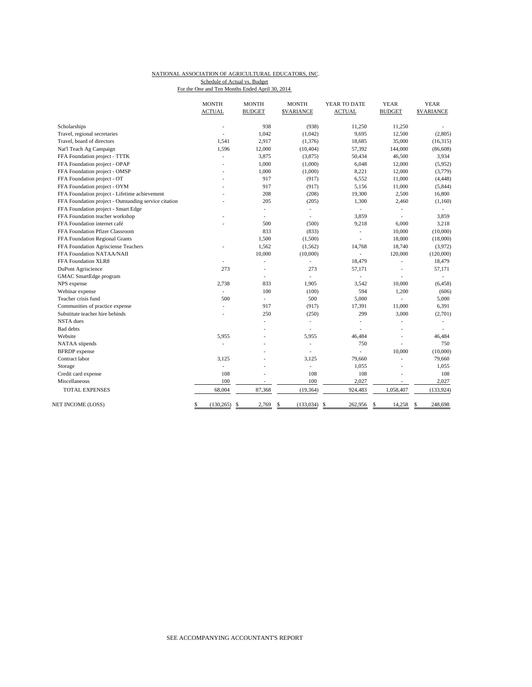#### NATIONAL ASSOCIATION OF AGRICULTURAL EDUCATORS, INC. For the One and Ten Months Ended April 30, 2014 Schedule of Actual vs. Budget

| <b>ACTUAL</b><br><b>BUDGET</b><br><b>\$VARIANCE</b><br><b>ACTUAL</b><br><b>BUDGET</b><br><b>SVARIANCE</b><br>938<br>(938)<br>Scholarships<br>11,250<br>11,250<br>L,<br>Travel, regional secretaries<br>1,042<br>(1,042)<br>9,695<br>12,500<br>(2,805)<br>ä,<br>2,917<br>Travel, board of directors<br>1,541<br>(1,376)<br>18,685<br>35,000<br>(16, 315)<br>57,392<br>1,596<br>12,000<br>(10, 404)<br>144,000<br>(86, 608)<br>Nat'l Teach Ag Campaign<br>FFA Foundation project - TTTK<br>3,875<br>(3,875)<br>50,434<br>46,500<br>3,934<br>ä,<br>FFA Foundation project - OPAP<br>1,000<br>6,048<br>12,000<br>(1,000)<br>(5,952)<br>1,000<br>FFA Foundation project - OMSP<br>(1,000)<br>8,221<br>12,000<br>(3,779)<br>917<br>FFA Foundation project - OT<br>6,552<br>11,000<br>(917)<br>(4, 448)<br>FFA Foundation project - OYM<br>917<br>5,156<br>11,000<br>(5, 844)<br>(917)<br>FFA Foundation project - Lifetime achievement<br>208<br>(208)<br>19,300<br>2,500<br>16,800<br>FFA Foundation project - Outstanding service citation<br>205<br>(205)<br>1,300<br>2,460<br>(1,160)<br>FFA Foundation project - Smart Edge<br>L.<br>L.<br>$\overline{\phantom{a}}$<br>$\frac{1}{2}$<br>FFA Foundation teacher workshop<br>3.859<br>3,859<br>L.<br>÷.<br>÷.<br>FFA Foundation internet café<br>500<br>9,218<br>6,000<br>3,218<br>(500)<br>FFA Foundation Pfizer Classroom<br>833<br>(833)<br>10,000<br>(10,000)<br>÷,<br>1,500<br>(1,500)<br>18,000<br>FFA Foundation Regional Grants<br>(18,000)<br>L,<br>1,562<br>18,740<br>FFA Foundation Agrisciense Teachers<br>(1, 562)<br>14,768<br>(3,972)<br>FFA Foundation NATAA/NAII<br>10,000<br>(10,000)<br>120,000<br>(120,000)<br>÷.<br>18,479<br>FFA Foundation XLR8<br>18,479<br>L.<br>ä,<br>273<br>273<br>57,171<br>57,171<br>DuPont Agriscience<br>L,<br>٠<br>GMAC SmartEdge program<br>$\mathcal{L}_{\mathcal{A}}$<br>÷,<br>L,<br>٠<br>833<br>1,905<br>3,542<br>10,000<br>(6, 458)<br>NPS expense<br>2,738<br>Webinar expense<br>100<br>(100)<br>594<br>1,200<br>(606)<br>$\overline{a}$<br>500<br>Teacher crisis fund<br>500<br>5,000<br>5,000<br>÷<br>L. |
|---------------------------------------------------------------------------------------------------------------------------------------------------------------------------------------------------------------------------------------------------------------------------------------------------------------------------------------------------------------------------------------------------------------------------------------------------------------------------------------------------------------------------------------------------------------------------------------------------------------------------------------------------------------------------------------------------------------------------------------------------------------------------------------------------------------------------------------------------------------------------------------------------------------------------------------------------------------------------------------------------------------------------------------------------------------------------------------------------------------------------------------------------------------------------------------------------------------------------------------------------------------------------------------------------------------------------------------------------------------------------------------------------------------------------------------------------------------------------------------------------------------------------------------------------------------------------------------------------------------------------------------------------------------------------------------------------------------------------------------------------------------------------------------------------------------------------------------------------------------------------------------------------------------------------------------------------------------------------------------------------------------------------------------------------------------------------------------------------------------|
|                                                                                                                                                                                                                                                                                                                                                                                                                                                                                                                                                                                                                                                                                                                                                                                                                                                                                                                                                                                                                                                                                                                                                                                                                                                                                                                                                                                                                                                                                                                                                                                                                                                                                                                                                                                                                                                                                                                                                                                                                                                                                                               |
|                                                                                                                                                                                                                                                                                                                                                                                                                                                                                                                                                                                                                                                                                                                                                                                                                                                                                                                                                                                                                                                                                                                                                                                                                                                                                                                                                                                                                                                                                                                                                                                                                                                                                                                                                                                                                                                                                                                                                                                                                                                                                                               |
|                                                                                                                                                                                                                                                                                                                                                                                                                                                                                                                                                                                                                                                                                                                                                                                                                                                                                                                                                                                                                                                                                                                                                                                                                                                                                                                                                                                                                                                                                                                                                                                                                                                                                                                                                                                                                                                                                                                                                                                                                                                                                                               |
|                                                                                                                                                                                                                                                                                                                                                                                                                                                                                                                                                                                                                                                                                                                                                                                                                                                                                                                                                                                                                                                                                                                                                                                                                                                                                                                                                                                                                                                                                                                                                                                                                                                                                                                                                                                                                                                                                                                                                                                                                                                                                                               |
|                                                                                                                                                                                                                                                                                                                                                                                                                                                                                                                                                                                                                                                                                                                                                                                                                                                                                                                                                                                                                                                                                                                                                                                                                                                                                                                                                                                                                                                                                                                                                                                                                                                                                                                                                                                                                                                                                                                                                                                                                                                                                                               |
|                                                                                                                                                                                                                                                                                                                                                                                                                                                                                                                                                                                                                                                                                                                                                                                                                                                                                                                                                                                                                                                                                                                                                                                                                                                                                                                                                                                                                                                                                                                                                                                                                                                                                                                                                                                                                                                                                                                                                                                                                                                                                                               |
|                                                                                                                                                                                                                                                                                                                                                                                                                                                                                                                                                                                                                                                                                                                                                                                                                                                                                                                                                                                                                                                                                                                                                                                                                                                                                                                                                                                                                                                                                                                                                                                                                                                                                                                                                                                                                                                                                                                                                                                                                                                                                                               |
|                                                                                                                                                                                                                                                                                                                                                                                                                                                                                                                                                                                                                                                                                                                                                                                                                                                                                                                                                                                                                                                                                                                                                                                                                                                                                                                                                                                                                                                                                                                                                                                                                                                                                                                                                                                                                                                                                                                                                                                                                                                                                                               |
|                                                                                                                                                                                                                                                                                                                                                                                                                                                                                                                                                                                                                                                                                                                                                                                                                                                                                                                                                                                                                                                                                                                                                                                                                                                                                                                                                                                                                                                                                                                                                                                                                                                                                                                                                                                                                                                                                                                                                                                                                                                                                                               |
|                                                                                                                                                                                                                                                                                                                                                                                                                                                                                                                                                                                                                                                                                                                                                                                                                                                                                                                                                                                                                                                                                                                                                                                                                                                                                                                                                                                                                                                                                                                                                                                                                                                                                                                                                                                                                                                                                                                                                                                                                                                                                                               |
|                                                                                                                                                                                                                                                                                                                                                                                                                                                                                                                                                                                                                                                                                                                                                                                                                                                                                                                                                                                                                                                                                                                                                                                                                                                                                                                                                                                                                                                                                                                                                                                                                                                                                                                                                                                                                                                                                                                                                                                                                                                                                                               |
|                                                                                                                                                                                                                                                                                                                                                                                                                                                                                                                                                                                                                                                                                                                                                                                                                                                                                                                                                                                                                                                                                                                                                                                                                                                                                                                                                                                                                                                                                                                                                                                                                                                                                                                                                                                                                                                                                                                                                                                                                                                                                                               |
|                                                                                                                                                                                                                                                                                                                                                                                                                                                                                                                                                                                                                                                                                                                                                                                                                                                                                                                                                                                                                                                                                                                                                                                                                                                                                                                                                                                                                                                                                                                                                                                                                                                                                                                                                                                                                                                                                                                                                                                                                                                                                                               |
|                                                                                                                                                                                                                                                                                                                                                                                                                                                                                                                                                                                                                                                                                                                                                                                                                                                                                                                                                                                                                                                                                                                                                                                                                                                                                                                                                                                                                                                                                                                                                                                                                                                                                                                                                                                                                                                                                                                                                                                                                                                                                                               |
|                                                                                                                                                                                                                                                                                                                                                                                                                                                                                                                                                                                                                                                                                                                                                                                                                                                                                                                                                                                                                                                                                                                                                                                                                                                                                                                                                                                                                                                                                                                                                                                                                                                                                                                                                                                                                                                                                                                                                                                                                                                                                                               |
|                                                                                                                                                                                                                                                                                                                                                                                                                                                                                                                                                                                                                                                                                                                                                                                                                                                                                                                                                                                                                                                                                                                                                                                                                                                                                                                                                                                                                                                                                                                                                                                                                                                                                                                                                                                                                                                                                                                                                                                                                                                                                                               |
|                                                                                                                                                                                                                                                                                                                                                                                                                                                                                                                                                                                                                                                                                                                                                                                                                                                                                                                                                                                                                                                                                                                                                                                                                                                                                                                                                                                                                                                                                                                                                                                                                                                                                                                                                                                                                                                                                                                                                                                                                                                                                                               |
|                                                                                                                                                                                                                                                                                                                                                                                                                                                                                                                                                                                                                                                                                                                                                                                                                                                                                                                                                                                                                                                                                                                                                                                                                                                                                                                                                                                                                                                                                                                                                                                                                                                                                                                                                                                                                                                                                                                                                                                                                                                                                                               |
|                                                                                                                                                                                                                                                                                                                                                                                                                                                                                                                                                                                                                                                                                                                                                                                                                                                                                                                                                                                                                                                                                                                                                                                                                                                                                                                                                                                                                                                                                                                                                                                                                                                                                                                                                                                                                                                                                                                                                                                                                                                                                                               |
|                                                                                                                                                                                                                                                                                                                                                                                                                                                                                                                                                                                                                                                                                                                                                                                                                                                                                                                                                                                                                                                                                                                                                                                                                                                                                                                                                                                                                                                                                                                                                                                                                                                                                                                                                                                                                                                                                                                                                                                                                                                                                                               |
|                                                                                                                                                                                                                                                                                                                                                                                                                                                                                                                                                                                                                                                                                                                                                                                                                                                                                                                                                                                                                                                                                                                                                                                                                                                                                                                                                                                                                                                                                                                                                                                                                                                                                                                                                                                                                                                                                                                                                                                                                                                                                                               |
|                                                                                                                                                                                                                                                                                                                                                                                                                                                                                                                                                                                                                                                                                                                                                                                                                                                                                                                                                                                                                                                                                                                                                                                                                                                                                                                                                                                                                                                                                                                                                                                                                                                                                                                                                                                                                                                                                                                                                                                                                                                                                                               |
|                                                                                                                                                                                                                                                                                                                                                                                                                                                                                                                                                                                                                                                                                                                                                                                                                                                                                                                                                                                                                                                                                                                                                                                                                                                                                                                                                                                                                                                                                                                                                                                                                                                                                                                                                                                                                                                                                                                                                                                                                                                                                                               |
|                                                                                                                                                                                                                                                                                                                                                                                                                                                                                                                                                                                                                                                                                                                                                                                                                                                                                                                                                                                                                                                                                                                                                                                                                                                                                                                                                                                                                                                                                                                                                                                                                                                                                                                                                                                                                                                                                                                                                                                                                                                                                                               |
|                                                                                                                                                                                                                                                                                                                                                                                                                                                                                                                                                                                                                                                                                                                                                                                                                                                                                                                                                                                                                                                                                                                                                                                                                                                                                                                                                                                                                                                                                                                                                                                                                                                                                                                                                                                                                                                                                                                                                                                                                                                                                                               |
| 11,000<br>6,391<br>Communities of practice expense<br>917<br>(917)<br>17,391                                                                                                                                                                                                                                                                                                                                                                                                                                                                                                                                                                                                                                                                                                                                                                                                                                                                                                                                                                                                                                                                                                                                                                                                                                                                                                                                                                                                                                                                                                                                                                                                                                                                                                                                                                                                                                                                                                                                                                                                                                  |
| 250<br>(250)<br>299<br>(2,701)<br>Substitute teacher hire behinds<br>3,000<br>Ĭ.                                                                                                                                                                                                                                                                                                                                                                                                                                                                                                                                                                                                                                                                                                                                                                                                                                                                                                                                                                                                                                                                                                                                                                                                                                                                                                                                                                                                                                                                                                                                                                                                                                                                                                                                                                                                                                                                                                                                                                                                                              |
| <b>NSTA</b> dues<br>$\overline{\phantom{a}}$<br>L,<br>÷,<br>L,                                                                                                                                                                                                                                                                                                                                                                                                                                                                                                                                                                                                                                                                                                                                                                                                                                                                                                                                                                                                                                                                                                                                                                                                                                                                                                                                                                                                                                                                                                                                                                                                                                                                                                                                                                                                                                                                                                                                                                                                                                                |
| <b>Bad</b> debts                                                                                                                                                                                                                                                                                                                                                                                                                                                                                                                                                                                                                                                                                                                                                                                                                                                                                                                                                                                                                                                                                                                                                                                                                                                                                                                                                                                                                                                                                                                                                                                                                                                                                                                                                                                                                                                                                                                                                                                                                                                                                              |
| Website<br>5,955<br>5,955<br>46,484<br>46,484<br>L,                                                                                                                                                                                                                                                                                                                                                                                                                                                                                                                                                                                                                                                                                                                                                                                                                                                                                                                                                                                                                                                                                                                                                                                                                                                                                                                                                                                                                                                                                                                                                                                                                                                                                                                                                                                                                                                                                                                                                                                                                                                           |
| 750<br>750<br>NATAA stipends<br>$\overline{\phantom{a}}$                                                                                                                                                                                                                                                                                                                                                                                                                                                                                                                                                                                                                                                                                                                                                                                                                                                                                                                                                                                                                                                                                                                                                                                                                                                                                                                                                                                                                                                                                                                                                                                                                                                                                                                                                                                                                                                                                                                                                                                                                                                      |
| (10,000)<br>10,000<br><b>BFRDP</b> expense<br>ä,                                                                                                                                                                                                                                                                                                                                                                                                                                                                                                                                                                                                                                                                                                                                                                                                                                                                                                                                                                                                                                                                                                                                                                                                                                                                                                                                                                                                                                                                                                                                                                                                                                                                                                                                                                                                                                                                                                                                                                                                                                                              |
| Contract labor<br>3,125<br>3,125<br>79,660<br>79,660<br>L,                                                                                                                                                                                                                                                                                                                                                                                                                                                                                                                                                                                                                                                                                                                                                                                                                                                                                                                                                                                                                                                                                                                                                                                                                                                                                                                                                                                                                                                                                                                                                                                                                                                                                                                                                                                                                                                                                                                                                                                                                                                    |
| 1,055<br>1,055<br>Storage                                                                                                                                                                                                                                                                                                                                                                                                                                                                                                                                                                                                                                                                                                                                                                                                                                                                                                                                                                                                                                                                                                                                                                                                                                                                                                                                                                                                                                                                                                                                                                                                                                                                                                                                                                                                                                                                                                                                                                                                                                                                                     |
| 108<br>108<br>108<br>108<br>Credit card expense                                                                                                                                                                                                                                                                                                                                                                                                                                                                                                                                                                                                                                                                                                                                                                                                                                                                                                                                                                                                                                                                                                                                                                                                                                                                                                                                                                                                                                                                                                                                                                                                                                                                                                                                                                                                                                                                                                                                                                                                                                                               |
| 100<br>100<br>Miscellaneous<br>2,027<br>2,027<br>$\overline{a}$                                                                                                                                                                                                                                                                                                                                                                                                                                                                                                                                                                                                                                                                                                                                                                                                                                                                                                                                                                                                                                                                                                                                                                                                                                                                                                                                                                                                                                                                                                                                                                                                                                                                                                                                                                                                                                                                                                                                                                                                                                               |
| 68,004<br>87,368<br>(19, 364)<br>924,483<br>1,058,407<br>TOTAL EXPENSES<br>(133, 924)                                                                                                                                                                                                                                                                                                                                                                                                                                                                                                                                                                                                                                                                                                                                                                                                                                                                                                                                                                                                                                                                                                                                                                                                                                                                                                                                                                                                                                                                                                                                                                                                                                                                                                                                                                                                                                                                                                                                                                                                                         |
| NET INCOME (LOSS)<br>(130, 265)<br>2,769<br>\$<br>(133, 034)<br>262,956<br>\$<br>14,258<br>248,698<br>\$<br>-S<br>\$<br>\$                                                                                                                                                                                                                                                                                                                                                                                                                                                                                                                                                                                                                                                                                                                                                                                                                                                                                                                                                                                                                                                                                                                                                                                                                                                                                                                                                                                                                                                                                                                                                                                                                                                                                                                                                                                                                                                                                                                                                                                    |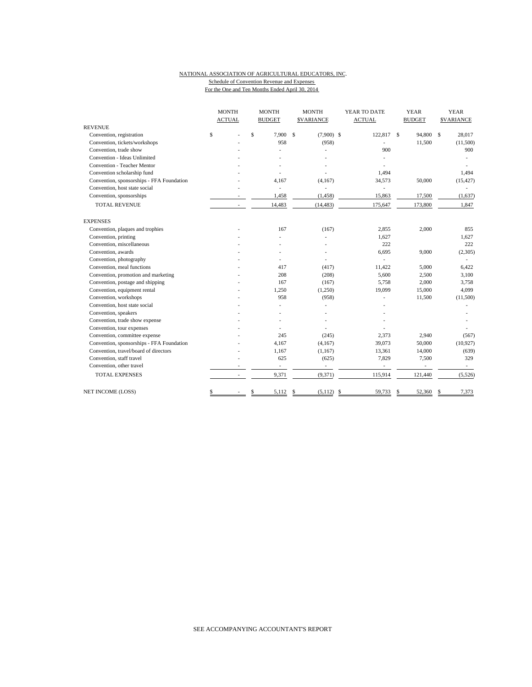## NATIONAL ASSOCIATION OF AGRICULTURAL EDUCATORS, INC. Schedule of Convention Revenue and Expenses

|                                           | <b>MONTH</b>  | <b>MONTH</b>             | <b>MONTH</b>                  | YEAR TO DATE  | <b>YEAR</b>              | <b>YEAR</b>      |
|-------------------------------------------|---------------|--------------------------|-------------------------------|---------------|--------------------------|------------------|
|                                           | <b>ACTUAL</b> | <b>BUDGET</b>            | <b>SVARIANCE</b>              | <b>ACTUAL</b> | <b>BUDGET</b>            | <b>SVARIANCE</b> |
| <b>REVENUE</b>                            |               |                          |                               |               |                          |                  |
| Convention, registration                  | \$            | \$<br>7.900              | <sup>\$</sup><br>$(7,900)$ \$ | 122,817 \$    | 94,800                   | \$<br>28,017     |
| Convention, tickets/workshops             |               | 958                      | (958)                         |               | 11,500                   | (11,500)         |
| Convention, trade show                    |               | J.                       |                               | 900           |                          | 900              |
| Convention - Ideas Unlimited              |               |                          |                               |               |                          |                  |
| Convention - Teacher Mentor               |               |                          |                               |               |                          |                  |
| Convention scholarship fund               |               |                          |                               | 1.494         |                          | 1,494            |
| Convention, sponsorships - FFA Foundation |               | 4,167                    | (4,167)                       | 34,573        | 50,000                   | (15, 427)        |
| Convention, host state social             |               | $\overline{\phantom{a}}$ | L,                            | ٠             |                          |                  |
| Convention, sponsorships                  |               | 1,458                    | (1, 458)                      | 15,863        | 17,500                   | (1,637)          |
| <b>TOTAL REVENUE</b>                      |               | 14,483                   | (14, 483)                     | 175,647       | 173,800                  | 1,847            |
| <b>EXPENSES</b>                           |               |                          |                               |               |                          |                  |
| Convention, plaques and trophies          |               | 167                      | (167)                         | 2,855         | 2,000                    | 855              |
| Convention, printing                      |               |                          |                               | 1,627         |                          | 1,627            |
| Convention, miscellaneous                 |               |                          |                               | 222           |                          | 222              |
| Convention, awards                        |               |                          |                               | 6,695         | 9,000                    | (2,305)          |
| Convention, photography                   |               |                          |                               |               |                          |                  |
| Convention, meal functions                |               | 417                      | (417)                         | 11,422        | 5,000                    | 6,422            |
| Convention, promotion and marketing       |               | 208                      | (208)                         | 5,600         | 2,500                    | 3,100            |
| Convention, postage and shipping          |               | 167                      | (167)                         | 5,758         | 2,000                    | 3,758            |
| Convention, equipment rental              |               | 1,250                    | (1,250)                       | 19,099        | 15,000                   | 4,099            |
| Convention, workshops                     |               | 958                      | (958)                         |               | 11,500                   | (11,500)         |
| Convention, host state social             |               |                          |                               |               |                          |                  |
| Convention, speakers                      |               |                          |                               |               |                          |                  |
| Convention, trade show expense            |               |                          |                               |               |                          |                  |
| Convention, tour expenses                 |               |                          |                               |               |                          |                  |
| Convention, committee expense             |               | 245                      | (245)                         | 2,373         | 2,940                    | (567)            |
| Convention, sponsorships - FFA Foundation |               | 4,167                    | (4,167)                       | 39,073        | 50,000                   | (10, 927)        |
| Convention, travel/board of directors     |               | 1,167                    | (1, 167)                      | 13,361        | 14,000                   | (639)            |
| Convention, staff travel                  |               | 625                      | (625)                         | 7,829         | 7,500                    | 329              |
| Convention, other travel                  |               | $\overline{\phantom{a}}$ | $\overline{\phantom{a}}$      | ÷,            | $\overline{\phantom{a}}$ | $\sim$           |
| <b>TOTAL EXPENSES</b>                     |               | 9,371                    | (9, 371)                      | 115,914       | 121,440                  | (5, 526)         |
| NET INCOME (LOSS)                         | \$            | \$<br>5,112              | \$<br>(5,112)                 | -\$<br>59,733 | 52,360<br>\$             | 7,373<br>\$      |

For the One and Ten Months Ended April 30, 2014